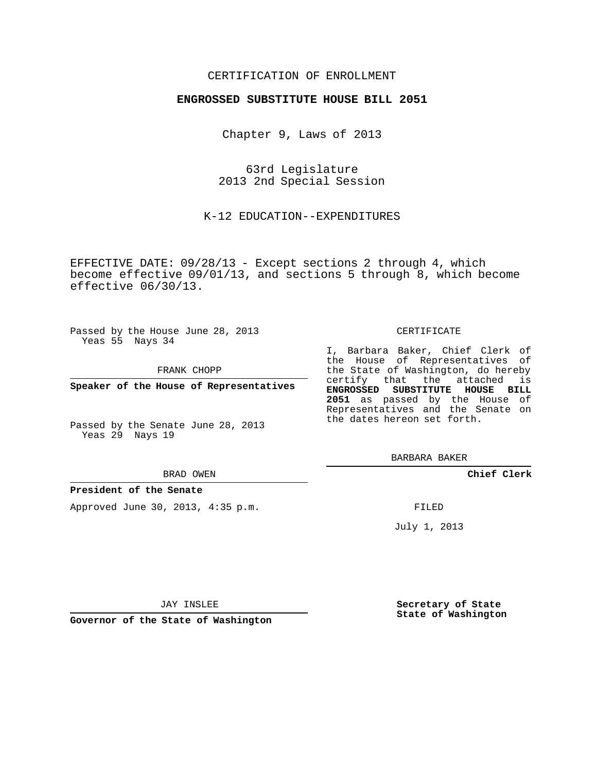## CERTIFICATION OF ENROLLMENT

## **ENGROSSED SUBSTITUTE HOUSE BILL 2051**

Chapter 9, Laws of 2013

63rd Legislature 2013 2nd Special Session

K-12 EDUCATION--EXPENDITURES

EFFECTIVE DATE: 09/28/13 - Except sections 2 through 4, which become effective 09/01/13, and sections 5 through 8, which become effective 06/30/13.

Passed by the House June 28, 2013 Yeas 55 Nays 34

FRANK CHOPP

**Speaker of the House of Representatives**

Passed by the Senate June 28, 2013 Yeas 29 Nays 19

#### BRAD OWEN

### **President of the Senate**

Approved June 30, 2013, 4:35 p.m.

#### CERTIFICATE

I, Barbara Baker, Chief Clerk of the House of Representatives of the State of Washington, do hereby certify that the attached is **ENGROSSED SUBSTITUTE HOUSE BILL 2051** as passed by the House of Representatives and the Senate on the dates hereon set forth.

BARBARA BAKER

**Chief Clerk**

FILED

July 1, 2013

JAY INSLEE

**Governor of the State of Washington**

**Secretary of State State of Washington**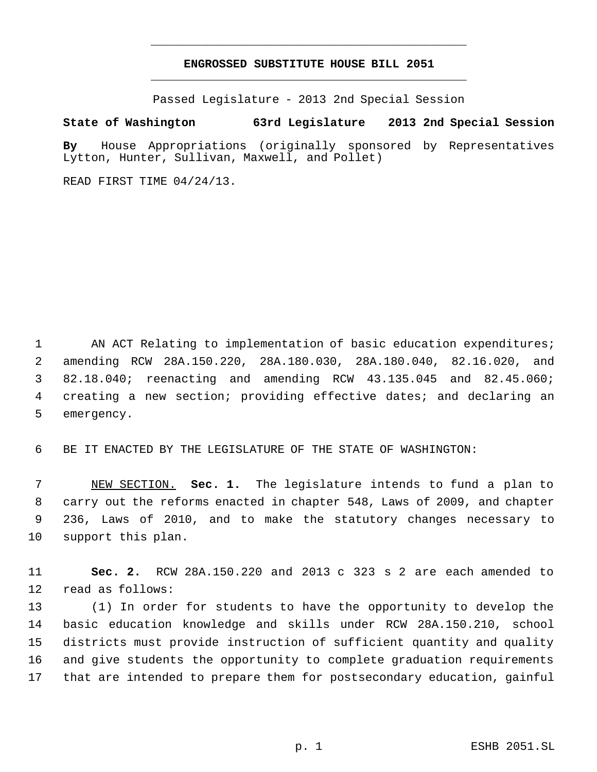# **ENGROSSED SUBSTITUTE HOUSE BILL 2051** \_\_\_\_\_\_\_\_\_\_\_\_\_\_\_\_\_\_\_\_\_\_\_\_\_\_\_\_\_\_\_\_\_\_\_\_\_\_\_\_\_\_\_\_\_

\_\_\_\_\_\_\_\_\_\_\_\_\_\_\_\_\_\_\_\_\_\_\_\_\_\_\_\_\_\_\_\_\_\_\_\_\_\_\_\_\_\_\_\_\_

Passed Legislature - 2013 2nd Special Session

# **State of Washington 63rd Legislature 2013 2nd Special Session**

**By** House Appropriations (originally sponsored by Representatives Lytton, Hunter, Sullivan, Maxwell, and Pollet)

READ FIRST TIME 04/24/13.

1 AN ACT Relating to implementation of basic education expenditures; amending RCW 28A.150.220, 28A.180.030, 28A.180.040, 82.16.020, and 82.18.040; reenacting and amending RCW 43.135.045 and 82.45.060; creating a new section; providing effective dates; and declaring an emergency.

BE IT ENACTED BY THE LEGISLATURE OF THE STATE OF WASHINGTON:

 NEW SECTION. **Sec. 1.** The legislature intends to fund a plan to carry out the reforms enacted in chapter 548, Laws of 2009, and chapter 236, Laws of 2010, and to make the statutory changes necessary to support this plan.

 **Sec. 2.** RCW 28A.150.220 and 2013 c 323 s 2 are each amended to read as follows:

 (1) In order for students to have the opportunity to develop the basic education knowledge and skills under RCW 28A.150.210, school districts must provide instruction of sufficient quantity and quality and give students the opportunity to complete graduation requirements that are intended to prepare them for postsecondary education, gainful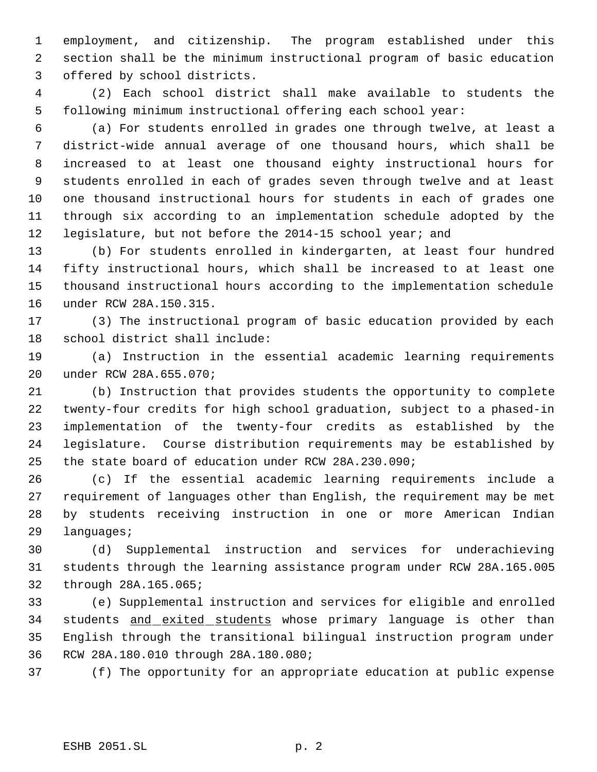employment, and citizenship. The program established under this section shall be the minimum instructional program of basic education offered by school districts.

 (2) Each school district shall make available to students the following minimum instructional offering each school year:

 (a) For students enrolled in grades one through twelve, at least a district-wide annual average of one thousand hours, which shall be increased to at least one thousand eighty instructional hours for students enrolled in each of grades seven through twelve and at least one thousand instructional hours for students in each of grades one through six according to an implementation schedule adopted by the legislature, but not before the 2014-15 school year; and

 (b) For students enrolled in kindergarten, at least four hundred fifty instructional hours, which shall be increased to at least one thousand instructional hours according to the implementation schedule under RCW 28A.150.315.

 (3) The instructional program of basic education provided by each school district shall include:

 (a) Instruction in the essential academic learning requirements under RCW 28A.655.070;

 (b) Instruction that provides students the opportunity to complete twenty-four credits for high school graduation, subject to a phased-in implementation of the twenty-four credits as established by the legislature. Course distribution requirements may be established by the state board of education under RCW 28A.230.090;

 (c) If the essential academic learning requirements include a requirement of languages other than English, the requirement may be met by students receiving instruction in one or more American Indian languages;

 (d) Supplemental instruction and services for underachieving students through the learning assistance program under RCW 28A.165.005 through 28A.165.065;

 (e) Supplemental instruction and services for eligible and enrolled 34 students and exited students whose primary language is other than English through the transitional bilingual instruction program under RCW 28A.180.010 through 28A.180.080;

(f) The opportunity for an appropriate education at public expense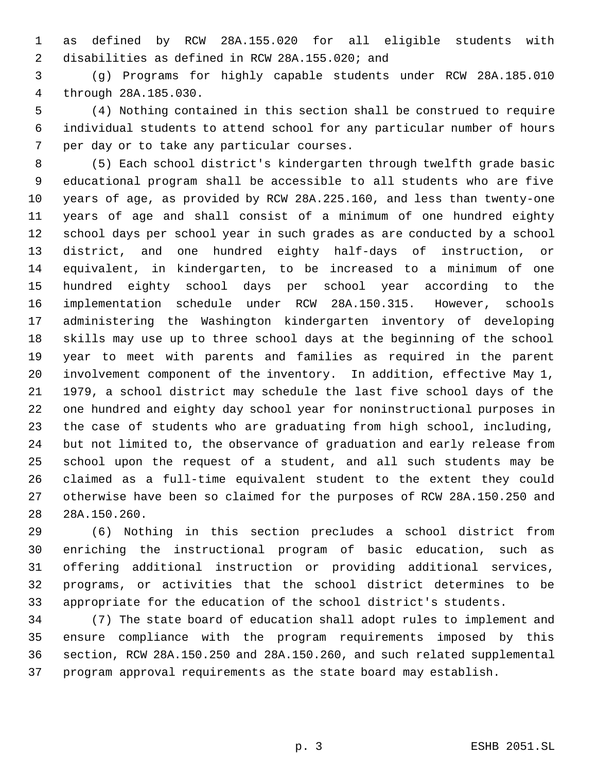as defined by RCW 28A.155.020 for all eligible students with disabilities as defined in RCW 28A.155.020; and

 (g) Programs for highly capable students under RCW 28A.185.010 through 28A.185.030.

 (4) Nothing contained in this section shall be construed to require individual students to attend school for any particular number of hours per day or to take any particular courses.

 (5) Each school district's kindergarten through twelfth grade basic educational program shall be accessible to all students who are five years of age, as provided by RCW 28A.225.160, and less than twenty-one years of age and shall consist of a minimum of one hundred eighty school days per school year in such grades as are conducted by a school district, and one hundred eighty half-days of instruction, or equivalent, in kindergarten, to be increased to a minimum of one hundred eighty school days per school year according to the implementation schedule under RCW 28A.150.315. However, schools administering the Washington kindergarten inventory of developing skills may use up to three school days at the beginning of the school year to meet with parents and families as required in the parent involvement component of the inventory. In addition, effective May 1, 1979, a school district may schedule the last five school days of the one hundred and eighty day school year for noninstructional purposes in the case of students who are graduating from high school, including, but not limited to, the observance of graduation and early release from school upon the request of a student, and all such students may be claimed as a full-time equivalent student to the extent they could otherwise have been so claimed for the purposes of RCW 28A.150.250 and 28A.150.260.

 (6) Nothing in this section precludes a school district from enriching the instructional program of basic education, such as offering additional instruction or providing additional services, programs, or activities that the school district determines to be appropriate for the education of the school district's students.

 (7) The state board of education shall adopt rules to implement and ensure compliance with the program requirements imposed by this section, RCW 28A.150.250 and 28A.150.260, and such related supplemental program approval requirements as the state board may establish.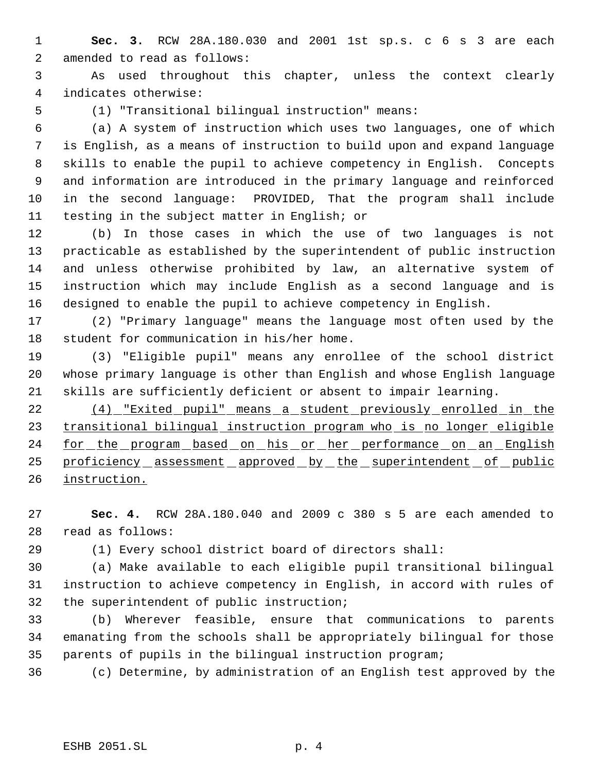**Sec. 3.** RCW 28A.180.030 and 2001 1st sp.s. c 6 s 3 are each amended to read as follows:

 As used throughout this chapter, unless the context clearly indicates otherwise:

(1) "Transitional bilingual instruction" means:

 (a) A system of instruction which uses two languages, one of which is English, as a means of instruction to build upon and expand language skills to enable the pupil to achieve competency in English. Concepts and information are introduced in the primary language and reinforced in the second language: PROVIDED, That the program shall include testing in the subject matter in English; or

 (b) In those cases in which the use of two languages is not practicable as established by the superintendent of public instruction and unless otherwise prohibited by law, an alternative system of instruction which may include English as a second language and is designed to enable the pupil to achieve competency in English.

 (2) "Primary language" means the language most often used by the student for communication in his/her home.

 (3) "Eligible pupil" means any enrollee of the school district whose primary language is other than English and whose English language skills are sufficiently deficient or absent to impair learning.

 (4) "Exited pupil" means a student previously enrolled in the transitional bilingual instruction program who is no longer eligible 24 for the program based on his or her performance on an English 25 proficiency assessment approved by the superintendent of public instruction.

 **Sec. 4.** RCW 28A.180.040 and 2009 c 380 s 5 are each amended to read as follows:

(1) Every school district board of directors shall:

 (a) Make available to each eligible pupil transitional bilingual instruction to achieve competency in English, in accord with rules of the superintendent of public instruction;

 (b) Wherever feasible, ensure that communications to parents emanating from the schools shall be appropriately bilingual for those parents of pupils in the bilingual instruction program;

(c) Determine, by administration of an English test approved by the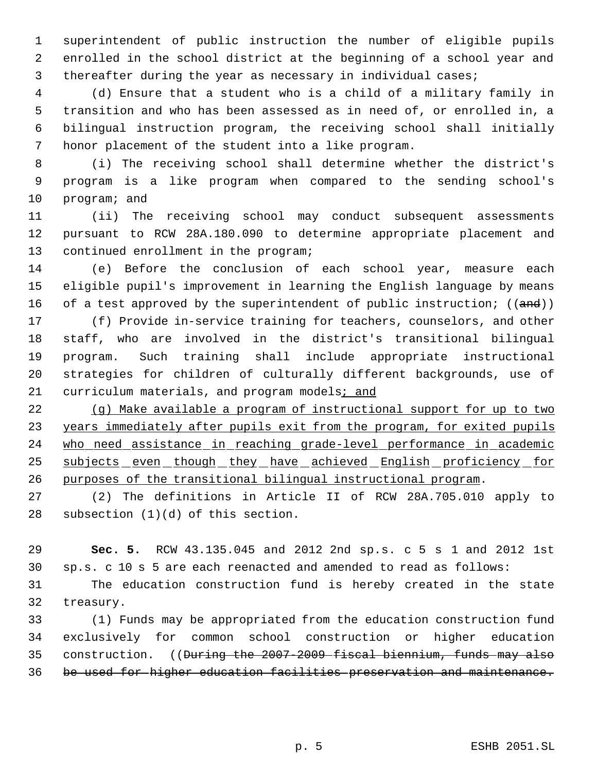superintendent of public instruction the number of eligible pupils enrolled in the school district at the beginning of a school year and thereafter during the year as necessary in individual cases;

 (d) Ensure that a student who is a child of a military family in transition and who has been assessed as in need of, or enrolled in, a bilingual instruction program, the receiving school shall initially honor placement of the student into a like program.

 (i) The receiving school shall determine whether the district's program is a like program when compared to the sending school's program; and

 (ii) The receiving school may conduct subsequent assessments pursuant to RCW 28A.180.090 to determine appropriate placement and continued enrollment in the program;

 (e) Before the conclusion of each school year, measure each eligible pupil's improvement in learning the English language by means 16 of a test approved by the superintendent of public instruction;  $((and))$ 

 (f) Provide in-service training for teachers, counselors, and other staff, who are involved in the district's transitional bilingual program. Such training shall include appropriate instructional strategies for children of culturally different backgrounds, use of curriculum materials, and program models; and

 (g) Make available a program of instructional support for up to two 23 years immediately after pupils exit from the program, for exited pupils who need assistance in reaching grade-level performance in academic 25 subjects even though they have achieved English proficiency for purposes of the transitional bilingual instructional program.

 (2) The definitions in Article II of RCW 28A.705.010 apply to subsection (1)(d) of this section.

 **Sec. 5.** RCW 43.135.045 and 2012 2nd sp.s. c 5 s 1 and 2012 1st sp.s. c 10 s 5 are each reenacted and amended to read as follows:

 The education construction fund is hereby created in the state treasury.

 (1) Funds may be appropriated from the education construction fund exclusively for common school construction or higher education construction. ((During the 2007-2009 fiscal biennium, funds may also be used for higher education facilities preservation and maintenance.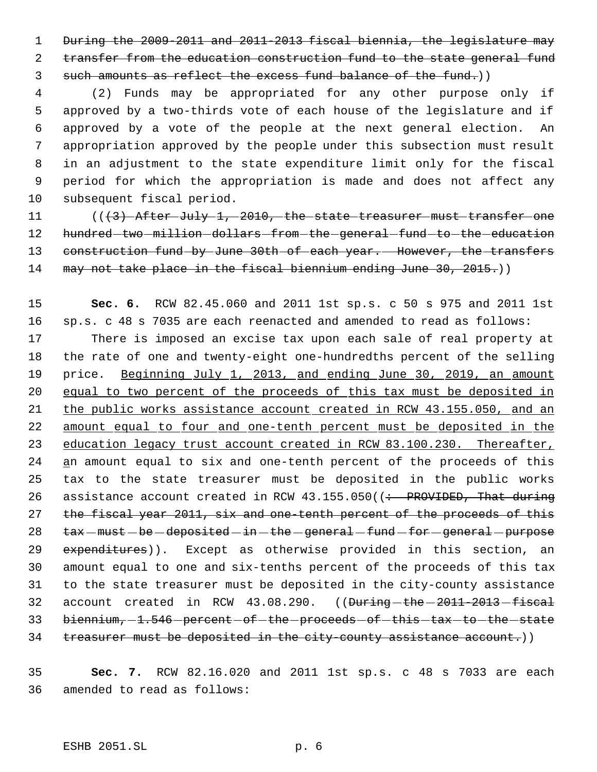1 During the 2009-2011 and 2011-2013 fiscal biennia, the legislature may 2 transfer from the education construction fund to the state general fund 3 such amounts as reflect the excess fund balance of the fund.)

 (2) Funds may be appropriated for any other purpose only if approved by a two-thirds vote of each house of the legislature and if approved by a vote of the people at the next general election. An appropriation approved by the people under this subsection must result in an adjustment to the state expenditure limit only for the fiscal period for which the appropriation is made and does not affect any subsequent fiscal period.

11 (((3) After July 1, 2010, the state treasurer must transfer one 12 hundred two million dollars from the general fund to the education 13 construction fund by June 30th of each year. However, the transfers 14 may not take place in the fiscal biennium ending June 30, 2015.)

15 **Sec. 6.** RCW 82.45.060 and 2011 1st sp.s. c 50 s 975 and 2011 1st 16 sp.s. c 48 s 7035 are each reenacted and amended to read as follows: 17 There is imposed an excise tax upon each sale of real property at 18 the rate of one and twenty-eight one-hundredths percent of the selling 19 price. Beginning July 1, 2013, and ending June 30, 2019, an amount 20 equal to two percent of the proceeds of this tax must be deposited in 21 the public works assistance account created in RCW 43.155.050, and an 22 amount equal to four and one-tenth percent must be deposited in the 23 education legacy trust account created in RCW 83.100.230. Thereafter, 24 an amount equal to six and one-tenth percent of the proceeds of this 25 tax to the state treasurer must be deposited in the public works 26 assistance account created in RCW  $43.155.050$  ( $\div$  PROVIDED, That during 27 the fiscal year 2011, six and one-tenth percent of the proceeds of this  $28$  tax  $-must - be - deposited - in - the - general - fund - for - general - purpose$ 29 expenditures)). Except as otherwise provided in this section, an 30 amount equal to one and six-tenths percent of the proceeds of this tax 31 to the state treasurer must be deposited in the city-county assistance 32 account created in RCW  $43.08.290.$  (( $\theta$ uring - the  $-2011-2013$  - fiscal 33 biennium, -1.546 - percent - of - the - proceeds - of - this - tax - to - the - state 34 treasurer must be deposited in the city-county assistance account.))

35 **Sec. 7.** RCW 82.16.020 and 2011 1st sp.s. c 48 s 7033 are each 36 amended to read as follows: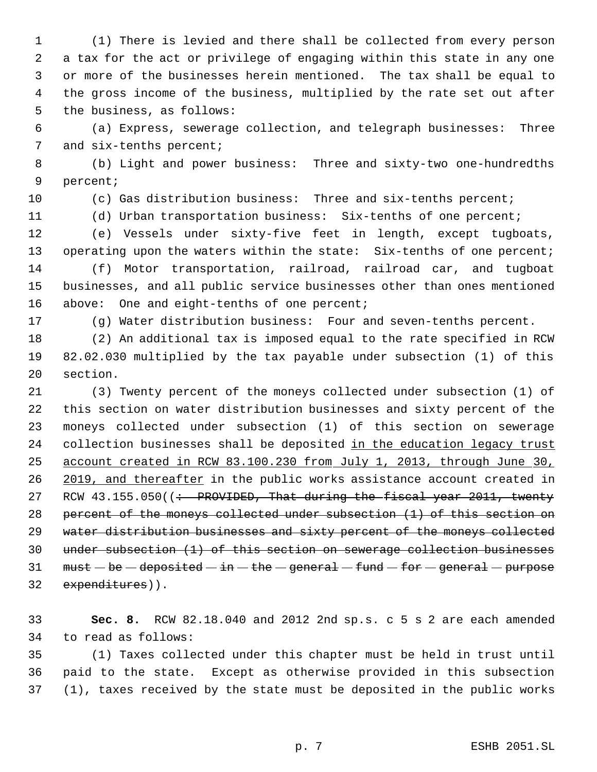(1) There is levied and there shall be collected from every person a tax for the act or privilege of engaging within this state in any one or more of the businesses herein mentioned. The tax shall be equal to the gross income of the business, multiplied by the rate set out after the business, as follows:

 (a) Express, sewerage collection, and telegraph businesses: Three 7 and six-tenths percent;

 (b) Light and power business: Three and sixty-two one-hundredths percent;

(c) Gas distribution business: Three and six-tenths percent;

(d) Urban transportation business: Six-tenths of one percent;

 (e) Vessels under sixty-five feet in length, except tugboats, 13 operating upon the waters within the state: Six-tenths of one percent; (f) Motor transportation, railroad, railroad car, and tugboat businesses, and all public service businesses other than ones mentioned 16 above: One and eight-tenths of one percent;

(g) Water distribution business: Four and seven-tenths percent.

 (2) An additional tax is imposed equal to the rate specified in RCW 82.02.030 multiplied by the tax payable under subsection (1) of this section.

 (3) Twenty percent of the moneys collected under subsection (1) of this section on water distribution businesses and sixty percent of the moneys collected under subsection (1) of this section on sewerage 24 collection businesses shall be deposited in the education legacy trust account created in RCW 83.100.230 from July 1, 2013, through June 30, 26 2019, and thereafter in the public works assistance account created in 27 RCW  $43.155.050$  ( $\div$  PROVIDED, That during the fiscal year 2011, twenty percent of the moneys collected under subsection (1) of this section on 29 water distribution businesses and sixty percent of the moneys collected under subsection (1) of this section on sewerage collection businesses 31 must  $-\mathbf{be}-\mathbf{deposited}-\mathbf{in}-\mathbf{the}-\mathbf{general}-\mathbf{fund}-\mathbf{for}-\mathbf{general}-\mathbf{purpose}$ expenditures)).

 **Sec. 8.** RCW 82.18.040 and 2012 2nd sp.s. c 5 s 2 are each amended to read as follows:

 (1) Taxes collected under this chapter must be held in trust until paid to the state. Except as otherwise provided in this subsection (1), taxes received by the state must be deposited in the public works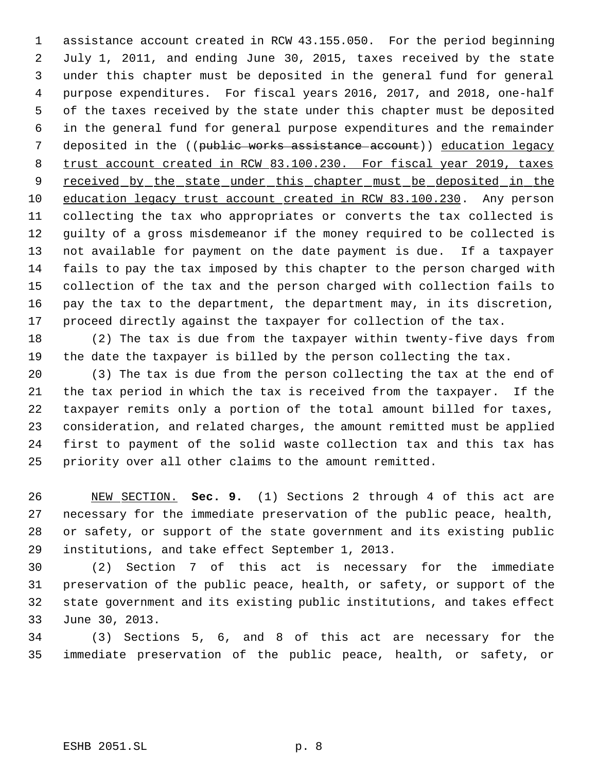assistance account created in RCW 43.155.050. For the period beginning July 1, 2011, and ending June 30, 2015, taxes received by the state under this chapter must be deposited in the general fund for general purpose expenditures. For fiscal years 2016, 2017, and 2018, one-half of the taxes received by the state under this chapter must be deposited in the general fund for general purpose expenditures and the remainder 7 deposited in the ((public works assistance account)) education legacy trust account created in RCW 83.100.230. For fiscal year 2019, taxes 9 received by the state under this chapter must be deposited in the education legacy trust account created in RCW 83.100.230. Any person collecting the tax who appropriates or converts the tax collected is guilty of a gross misdemeanor if the money required to be collected is not available for payment on the date payment is due. If a taxpayer fails to pay the tax imposed by this chapter to the person charged with collection of the tax and the person charged with collection fails to pay the tax to the department, the department may, in its discretion, proceed directly against the taxpayer for collection of the tax.

 (2) The tax is due from the taxpayer within twenty-five days from the date the taxpayer is billed by the person collecting the tax.

 (3) The tax is due from the person collecting the tax at the end of the tax period in which the tax is received from the taxpayer. If the taxpayer remits only a portion of the total amount billed for taxes, consideration, and related charges, the amount remitted must be applied first to payment of the solid waste collection tax and this tax has priority over all other claims to the amount remitted.

 NEW SECTION. **Sec. 9.** (1) Sections 2 through 4 of this act are necessary for the immediate preservation of the public peace, health, or safety, or support of the state government and its existing public institutions, and take effect September 1, 2013.

 (2) Section 7 of this act is necessary for the immediate preservation of the public peace, health, or safety, or support of the state government and its existing public institutions, and takes effect June 30, 2013.

 (3) Sections 5, 6, and 8 of this act are necessary for the immediate preservation of the public peace, health, or safety, or